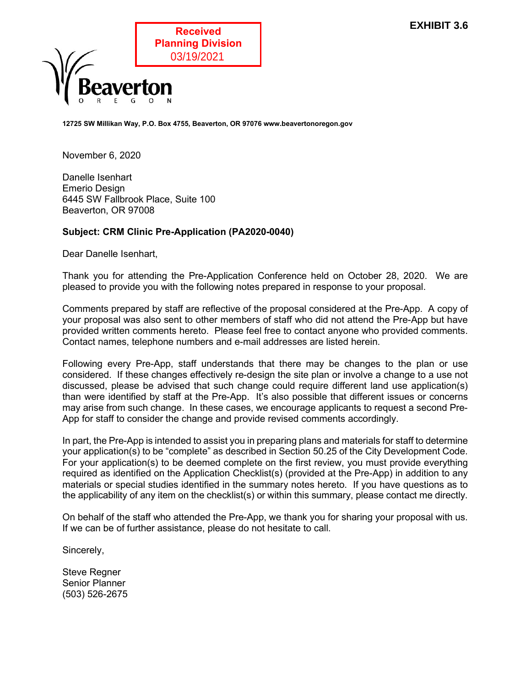

12725 SW Millikan Way, P.O. Box 4755, Beaverton, OR 97076 www.beavertonoregon.gov

November 6, 2020

Danelle Isenhart Emerio Design 6445 SW Fallbrook Place, Suite 100 Beaverton, OR 97008

#### Subject: CRM Clinic Pre-Application (PA2020-0040)

Dear Danelle Isenhart,

Thank you for attending the Pre-Application Conference held on October 28, 2020. We are pleased to provide you with the following notes prepared in response to your proposal.

Comments prepared by staff are reflective of the proposal considered at the Pre-App. A copy of your proposal was also sent to other members of staff who did not attend the Pre-App but have provided written comments hereto. Please feel free to contact anyone who provided comments. Contact names, telephone numbers and e-mail addresses are listed herein.

Following every Pre-App, staff understands that there may be changes to the plan or use considered. If these changes effectively re-design the site plan or involve a change to a use not discussed, please be advised that such change could require different land use application(s) than were identified by staff at the Pre-App. It's also possible that different issues or concerns may arise from such change. In these cases, we encourage applicants to request a second Pre-App for staff to consider the change and provide revised comments accordingly.

In part, the Pre-App is intended to assist you in preparing plans and materials for staff to determine your application(s) to be "complete" as described in Section 50.25 of the City Development Code. For your application(s) to be deemed complete on the first review, you must provide everything required as identified on the Application Checklist(s) (provided at the Pre-App) in addition to any materials or special studies identified in the summary notes hereto. If you have questions as to the applicability of any item on the checklist(s) or within this summary, please contact me directly.

On behalf of the staff who attended the Pre-App, we thank you for sharing your proposal with us. If we can be of further assistance, please do not hesitate to call.

Sincerely,

Steve Regner Senior Planner (503) 526-2675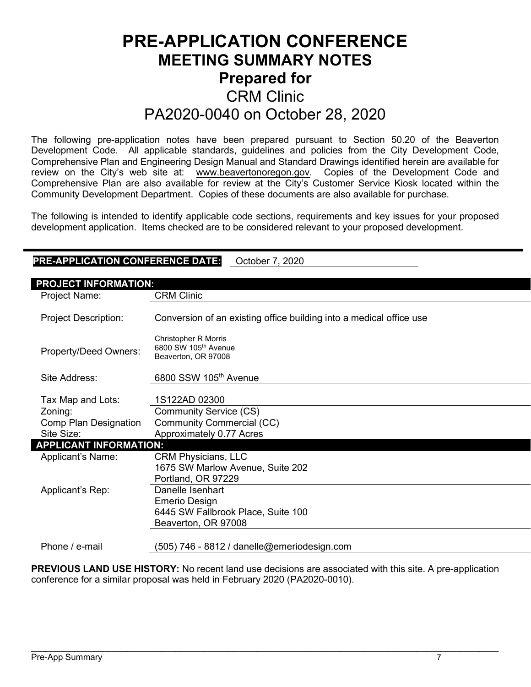# PRE-APPLICATION CONFERENCE MEETING SUMMARY NOTES Prepared for CRM Clinic PA2020-0040 on October 28, 2020

The following pre-application notes have been prepared pursuant to Section 50.20 of the Beaverton Development Code. All applicable standards, guidelines and policies from the City Development Code, Comprehensive Plan and Engineering Design Manual and Standard Drawings identified herein are available for review on the City's web site at: www.beavertonoregon.gov. Copies of the Development Code and Comprehensive Plan are also available for review at the City's Customer Service Kiosk located within the Community Development Department. Copies of these documents are also available for purchase.

The following is intended to identify applicable code sections, requirements and key issues for your proposed development application. Items checked are to be considered relevant to your proposed development.

# PRE-APPLICATION CONFERENCE DATE: October 7, 2020

| <b>PROJECT INFORMATION:</b>   |                                                                                        |  |  |
|-------------------------------|----------------------------------------------------------------------------------------|--|--|
| Project Name:                 | <b>CRM Clinic</b>                                                                      |  |  |
| <b>Project Description:</b>   | Conversion of an existing office building into a medical office use                    |  |  |
| Property/Deed Owners:         | <b>Christopher R Morris</b><br>6800 SW 105 <sup>th</sup> Avenue<br>Beaverton, OR 97008 |  |  |
| Site Address:                 | 6800 SSW 105th Avenue                                                                  |  |  |
|                               |                                                                                        |  |  |
| Tax Map and Lots:             | 1S122AD 02300                                                                          |  |  |
| Zoning:                       | Community Service (CS)                                                                 |  |  |
| Comp Plan Designation         | Community Commercial (CC)                                                              |  |  |
| Site Size:                    | Approximately 0.77 Acres                                                               |  |  |
| <b>APPLICANT INFORMATION:</b> |                                                                                        |  |  |
| Applicant's Name:             | <b>CRM Physicians, LLC</b>                                                             |  |  |
|                               | 1675 SW Marlow Avenue, Suite 202                                                       |  |  |
|                               | Portland, OR 97229                                                                     |  |  |
| Applicant's Rep:              | Danelle Isenhart                                                                       |  |  |
|                               | Emerio Design                                                                          |  |  |
|                               | 6445 SW Fallbrook Place, Suite 100                                                     |  |  |
|                               | Beaverton, OR 97008                                                                    |  |  |
|                               |                                                                                        |  |  |
| Phone / e-mail                | (505) 746 - 8812 / danelle@emeriodesign.com                                            |  |  |

PREVIOUS LAND USE HISTORY: No recent land use decisions are associated with this site. A pre-application conference for a similar proposal was held in February 2020 (PA2020-0010).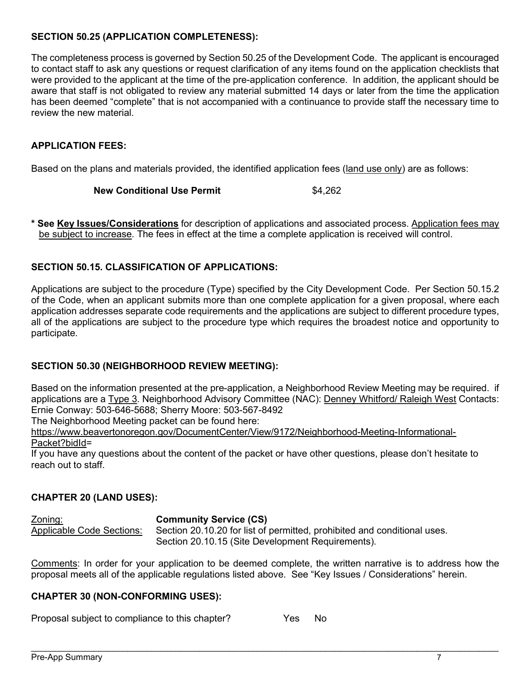## SECTION 50.25 (APPLICATION COMPLETENESS):

The completeness process is governed by Section 50.25 of the Development Code. The applicant is encouraged to contact staff to ask any questions or request clarification of any items found on the application checklists that were provided to the applicant at the time of the pre-application conference. In addition, the applicant should be aware that staff is not obligated to review any material submitted 14 days or later from the time the application has been deemed "complete" that is not accompanied with a continuance to provide staff the necessary time to review the new material.

# APPLICATION FEES:

Based on the plans and materials provided, the identified application fees (land use only) are as follows:

#### New Conditional Use Permit 64.262

See Key Issues/Considerations for description of applications and associated process. Application fees may be subject to increase. The fees in effect at the time a complete application is received will control.

#### SECTION 50.15. CLASSIFICATION OF APPLICATIONS:

Applications are subject to the procedure (Type) specified by the City Development Code. Per Section 50.15.2 of the Code, when an applicant submits more than one complete application for a given proposal, where each application addresses separate code requirements and the applications are subject to different procedure types, all of the applications are subject to the procedure type which requires the broadest notice and opportunity to participate.

# SECTION 50.30 (NEIGHBORHOOD REVIEW MEETING):

Based on the information presented at the pre-application, a Neighborhood Review Meeting may be required. if applications are a Type 3. Neighborhood Advisory Committee (NAC): Denney Whitford/ Raleigh West Contacts: Ernie Conway: 503-646-5688; Sherry Moore: 503-567-8492

The Neighborhood Meeting packet can be found here:

https://www.beavertonoregon.gov/DocumentCenter/View/9172/Neighborhood-Meeting-Informational-Packet?bidId=

If you have any questions about the content of the packet or have other questions, please don't hesitate to reach out to staff.

#### CHAPTER 20 (LAND USES):

Zoning: Community Service (CS) Applicable Code Sections: Section 20.10.20 for list of permitted, prohibited and conditional uses. Section 20.10.15 (Site Development Requirements).

Comments: In order for your application to be deemed complete, the written narrative is to address how the proposal meets all of the applicable regulations listed above. See "Key Issues / Considerations" herein.

 $\mathcal{L}_\mathcal{L} = \mathcal{L}_\mathcal{L} = \mathcal{L}_\mathcal{L} = \mathcal{L}_\mathcal{L} = \mathcal{L}_\mathcal{L} = \mathcal{L}_\mathcal{L} = \mathcal{L}_\mathcal{L} = \mathcal{L}_\mathcal{L} = \mathcal{L}_\mathcal{L} = \mathcal{L}_\mathcal{L} = \mathcal{L}_\mathcal{L} = \mathcal{L}_\mathcal{L} = \mathcal{L}_\mathcal{L} = \mathcal{L}_\mathcal{L} = \mathcal{L}_\mathcal{L} = \mathcal{L}_\mathcal{L} = \mathcal{L}_\mathcal{L}$ 

#### CHAPTER 30 (NON-CONFORMING USES):

Proposal subject to compliance to this chapter? Yes No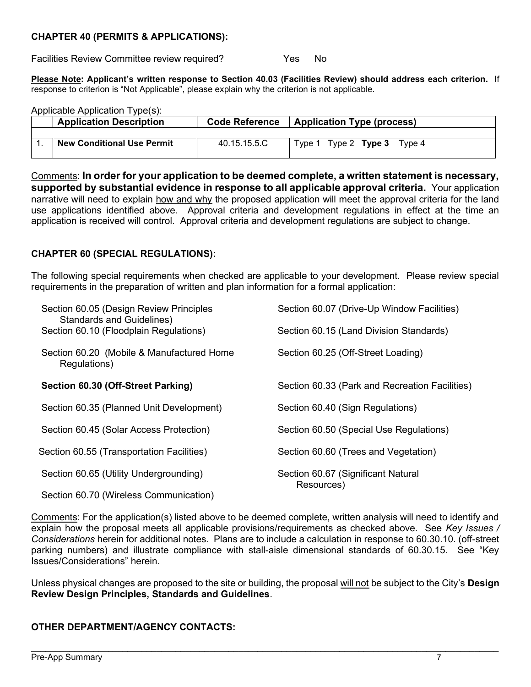## CHAPTER 40 (PERMITS & APPLICATIONS):

Facilities Review Committee review required? The State States No

Please Note: Applicant's written response to Section 40.03 (Facilities Review) should address each criterion. If response to criterion is "Not Applicable", please explain why the criterion is not applicable.

Applicable Application Type(s):

| <b>Application Description</b>    | <b>Code Reference</b> | <b>Application Type (process)</b>     |
|-----------------------------------|-----------------------|---------------------------------------|
|                                   |                       |                                       |
| <b>New Conditional Use Permit</b> | 40.15.15.5.C          | Tvpe 1<br>Type $2$ Type $3$<br>Type 4 |

Comments: In order for your application to be deemed complete, a written statement is necessary, supported by substantial evidence in response to all applicable approval criteria. Your application narrative will need to explain how and why the proposed application will meet the approval criteria for the land use applications identified above. Approval criteria and development regulations in effect at the time an application is received will control. Approval criteria and development regulations are subject to change.

## CHAPTER 60 (SPECIAL REGULATIONS):

The following special requirements when checked are applicable to your development. Please review special requirements in the preparation of written and plan information for a formal application:

| Section 60.05 (Design Review Principles<br><b>Standards and Guidelines)</b> | Section 60.07 (Drive-Up Window Facilities)       |
|-----------------------------------------------------------------------------|--------------------------------------------------|
| Section 60.10 (Floodplain Regulations)                                      | Section 60.15 (Land Division Standards)          |
| Section 60.20 (Mobile & Manufactured Home<br>Regulations)                   | Section 60.25 (Off-Street Loading)               |
| Section 60.30 (Off-Street Parking)                                          | Section 60.33 (Park and Recreation Facilities)   |
| Section 60.35 (Planned Unit Development)                                    | Section 60.40 (Sign Regulations)                 |
| Section 60.45 (Solar Access Protection)                                     | Section 60.50 (Special Use Regulations)          |
| Section 60.55 (Transportation Facilities)                                   | Section 60.60 (Trees and Vegetation)             |
| Section 60.65 (Utility Undergrounding)                                      | Section 60.67 (Significant Natural<br>Resources) |
| Section 60.70 (Wireless Communication)                                      |                                                  |

Comments: For the application(s) listed above to be deemed complete, written analysis will need to identify and explain how the proposal meets all applicable provisions/requirements as checked above. See Key Issues / Considerations herein for additional notes. Plans are to include a calculation in response to 60.30.10. (off-street parking numbers) and illustrate compliance with stall-aisle dimensional standards of 60.30.15. See "Key Issues/Considerations" herein.

Unless physical changes are proposed to the site or building, the proposal will not be subject to the City's Design Review Design Principles, Standards and Guidelines.

 $\mathcal{L}_\mathcal{L} = \mathcal{L}_\mathcal{L} = \mathcal{L}_\mathcal{L} = \mathcal{L}_\mathcal{L} = \mathcal{L}_\mathcal{L} = \mathcal{L}_\mathcal{L} = \mathcal{L}_\mathcal{L} = \mathcal{L}_\mathcal{L} = \mathcal{L}_\mathcal{L} = \mathcal{L}_\mathcal{L} = \mathcal{L}_\mathcal{L} = \mathcal{L}_\mathcal{L} = \mathcal{L}_\mathcal{L} = \mathcal{L}_\mathcal{L} = \mathcal{L}_\mathcal{L} = \mathcal{L}_\mathcal{L} = \mathcal{L}_\mathcal{L}$ 

# OTHER DEPARTMENT/AGENCY CONTACTS: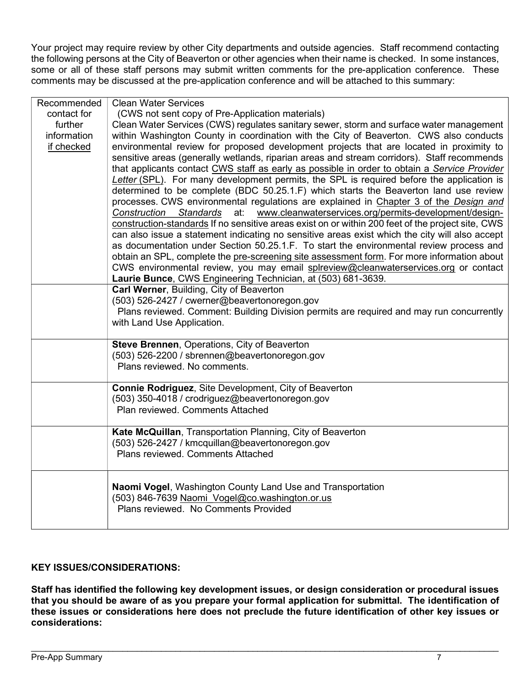Your project may require review by other City departments and outside agencies. Staff recommend contacting the following persons at the City of Beaverton or other agencies when their name is checked. In some instances, some or all of these staff persons may submit written comments for the pre-application conference. These comments may be discussed at the pre-application conference and will be attached to this summary:

| Recommended | <b>Clean Water Services</b>                                                                       |
|-------------|---------------------------------------------------------------------------------------------------|
| contact for | (CWS not sent copy of Pre-Application materials)                                                  |
| further     | Clean Water Services (CWS) regulates sanitary sewer, storm and surface water management           |
| information | within Washington County in coordination with the City of Beaverton. CWS also conducts            |
| if checked  | environmental review for proposed development projects that are located in proximity to           |
|             | sensitive areas (generally wetlands, riparian areas and stream corridors). Staff recommends       |
|             | that applicants contact CWS staff as early as possible in order to obtain a Service Provider      |
|             | Letter (SPL). For many development permits, the SPL is required before the application is         |
|             | determined to be complete (BDC 50.25.1.F) which starts the Beaverton land use review              |
|             | processes. CWS environmental regulations are explained in Chapter 3 of the Design and             |
|             | www.cleanwaterservices.org/permits-development/design-<br>Construction<br><b>Standards</b><br>at: |
|             | construction-standards If no sensitive areas exist on or within 200 feet of the project site, CWS |
|             | can also issue a statement indicating no sensitive areas exist which the city will also accept    |
|             | as documentation under Section 50.25.1.F. To start the environmental review process and           |
|             | obtain an SPL, complete the pre-screening site assessment form. For more information about        |
|             | CWS environmental review, you may email splreview@cleanwaterservices.org or contact               |
|             | Laurie Bunce, CWS Engineering Technician, at (503) 681-3639.                                      |
|             | Carl Werner, Building, City of Beaverton                                                          |
|             | (503) 526-2427 / cwerner@beavertonoregon.gov                                                      |
|             | Plans reviewed. Comment: Building Division permits are required and may run concurrently          |
|             | with Land Use Application.                                                                        |
|             | <b>Steve Brennen, Operations, City of Beaverton</b>                                               |
|             | (503) 526-2200 / sbrennen@beavertonoregon.gov                                                     |
|             | Plans reviewed. No comments.                                                                      |
|             |                                                                                                   |
|             | Connie Rodriguez, Site Development, City of Beaverton                                             |
|             | (503) 350-4018 / crodriguez@beavertonoregon.gov                                                   |
|             | Plan reviewed. Comments Attached                                                                  |
|             | Kate McQuillan, Transportation Planning, City of Beaverton                                        |
|             | (503) 526-2427 / kmcquillan@beavertonoregon.gov                                                   |
|             | Plans reviewed. Comments Attached                                                                 |
|             |                                                                                                   |
|             | Naomi Vogel, Washington County Land Use and Transportation                                        |
|             | (503) 846-7639 Naomi Vogel@co.washington.or.us                                                    |
|             | Plans reviewed. No Comments Provided                                                              |
|             |                                                                                                   |
|             |                                                                                                   |

# KEY ISSUES/CONSIDERATIONS:

Staff has identified the following key development issues, or design consideration or procedural issues that you should be aware of as you prepare your formal application for submittal. The identification of these issues or considerations here does not preclude the future identification of other key issues or considerations: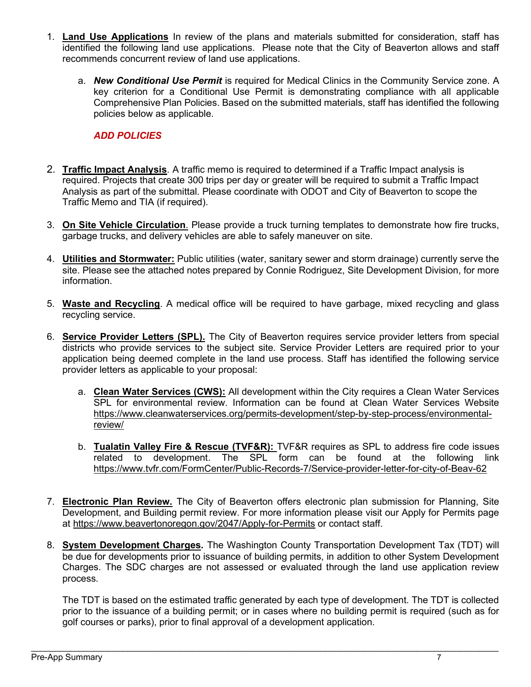- 1. Land Use Applications In review of the plans and materials submitted for consideration, staff has identified the following land use applications. Please note that the City of Beaverton allows and staff recommends concurrent review of land use applications.
	- a. **New Conditional Use Permit** is required for Medical Clinics in the Community Service zone. A key criterion for a Conditional Use Permit is demonstrating compliance with all applicable Comprehensive Plan Policies. Based on the submitted materials, staff has identified the following policies below as applicable.

## ADD POLICIES

- 2. Traffic Impact Analysis. A traffic memo is required to determined if a Traffic Impact analysis is required. Projects that create 300 trips per day or greater will be required to submit a Traffic Impact Analysis as part of the submittal. Please coordinate with ODOT and City of Beaverton to scope the Traffic Memo and TIA (if required).
- 3. On Site Vehicle Circulation. Please provide a truck turning templates to demonstrate how fire trucks, garbage trucks, and delivery vehicles are able to safely maneuver on site.
- 4. Utilities and Stormwater: Public utilities (water, sanitary sewer and storm drainage) currently serve the site. Please see the attached notes prepared by Connie Rodriguez, Site Development Division, for more information.
- 5. Waste and Recycling. A medical office will be required to have garbage, mixed recycling and glass recycling service.
- 6. Service Provider Letters (SPL). The City of Beaverton requires service provider letters from special districts who provide services to the subject site. Service Provider Letters are required prior to your application being deemed complete in the land use process. Staff has identified the following service provider letters as applicable to your proposal:
	- a. Clean Water Services (CWS): All development within the City requires a Clean Water Services SPL for environmental review. Information can be found at Clean Water Services Website https://www.cleanwaterservices.org/permits-development/step-by-step-process/environmentalreview/
	- b. Tualatin Valley Fire & Rescue (TVF&R): TVF&R requires as SPL to address fire code issues related to development. The SPL form can be found at the following link https://www.tvfr.com/FormCenter/Public-Records-7/Service-provider-letter-for-city-of-Beav-62
- 7. Electronic Plan Review. The City of Beaverton offers electronic plan submission for Planning, Site Development, and Building permit review. For more information please visit our Apply for Permits page at https://www.beavertonoregon.gov/2047/Apply-for-Permits or contact staff.
- 8. System Development Charges. The Washington County Transportation Development Tax (TDT) will be due for developments prior to issuance of building permits, in addition to other System Development Charges. The SDC charges are not assessed or evaluated through the land use application review process.

The TDT is based on the estimated traffic generated by each type of development. The TDT is collected prior to the issuance of a building permit; or in cases where no building permit is required (such as for golf courses or parks), prior to final approval of a development application.